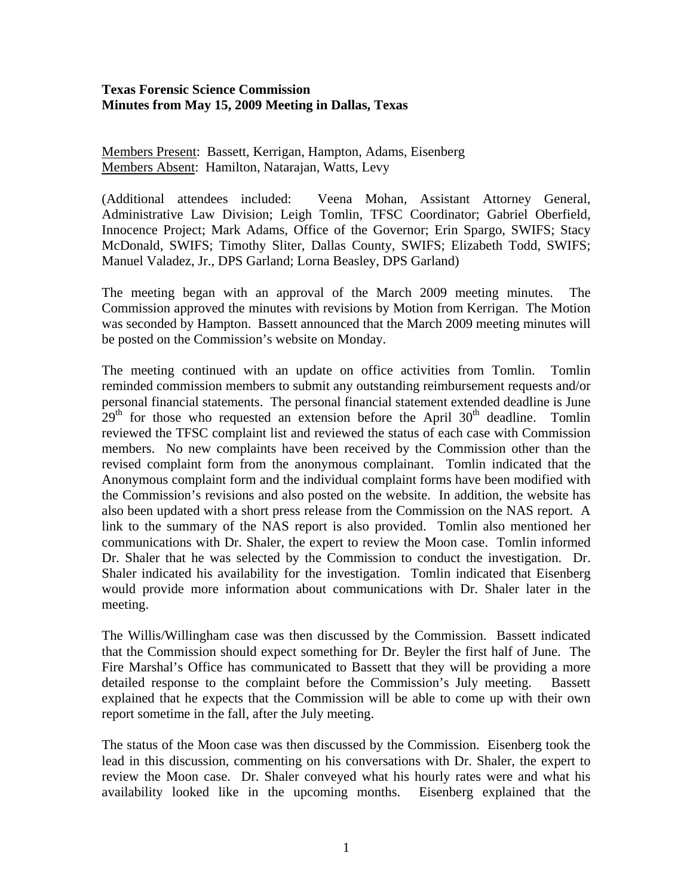## **Texas Forensic Science Commission Minutes from May 15, 2009 Meeting in Dallas, Texas**

Members Present: Bassett, Kerrigan, Hampton, Adams, Eisenberg Members Absent: Hamilton, Natarajan, Watts, Levy

(Additional attendees included: Veena Mohan, Assistant Attorney General, Administrative Law Division; Leigh Tomlin, TFSC Coordinator; Gabriel Oberfield, Innocence Project; Mark Adams, Office of the Governor; Erin Spargo, SWIFS; Stacy McDonald, SWIFS; Timothy Sliter, Dallas County, SWIFS; Elizabeth Todd, SWIFS; Manuel Valadez, Jr., DPS Garland; Lorna Beasley, DPS Garland)

The meeting began with an approval of the March 2009 meeting minutes. The Commission approved the minutes with revisions by Motion from Kerrigan. The Motion was seconded by Hampton. Bassett announced that the March 2009 meeting minutes will be posted on the Commission's website on Monday.

The meeting continued with an update on office activities from Tomlin. Tomlin reminded commission members to submit any outstanding reimbursement requests and/or personal financial statements. The personal financial statement extended deadline is June  $29<sup>th</sup>$  for those who requested an extension before the April  $30<sup>th</sup>$  deadline. Tomlin reviewed the TFSC complaint list and reviewed the status of each case with Commission members. No new complaints have been received by the Commission other than the revised complaint form from the anonymous complainant. Tomlin indicated that the Anonymous complaint form and the individual complaint forms have been modified with the Commission's revisions and also posted on the website. In addition, the website has also been updated with a short press release from the Commission on the NAS report. A link to the summary of the NAS report is also provided. Tomlin also mentioned her communications with Dr. Shaler, the expert to review the Moon case. Tomlin informed Dr. Shaler that he was selected by the Commission to conduct the investigation. Dr. Shaler indicated his availability for the investigation. Tomlin indicated that Eisenberg would provide more information about communications with Dr. Shaler later in the meeting.

The Willis/Willingham case was then discussed by the Commission. Bassett indicated that the Commission should expect something for Dr. Beyler the first half of June. The Fire Marshal's Office has communicated to Bassett that they will be providing a more detailed response to the complaint before the Commission's July meeting. Bassett explained that he expects that the Commission will be able to come up with their own report sometime in the fall, after the July meeting.

The status of the Moon case was then discussed by the Commission. Eisenberg took the lead in this discussion, commenting on his conversations with Dr. Shaler, the expert to review the Moon case. Dr. Shaler conveyed what his hourly rates were and what his availability looked like in the upcoming months. Eisenberg explained that the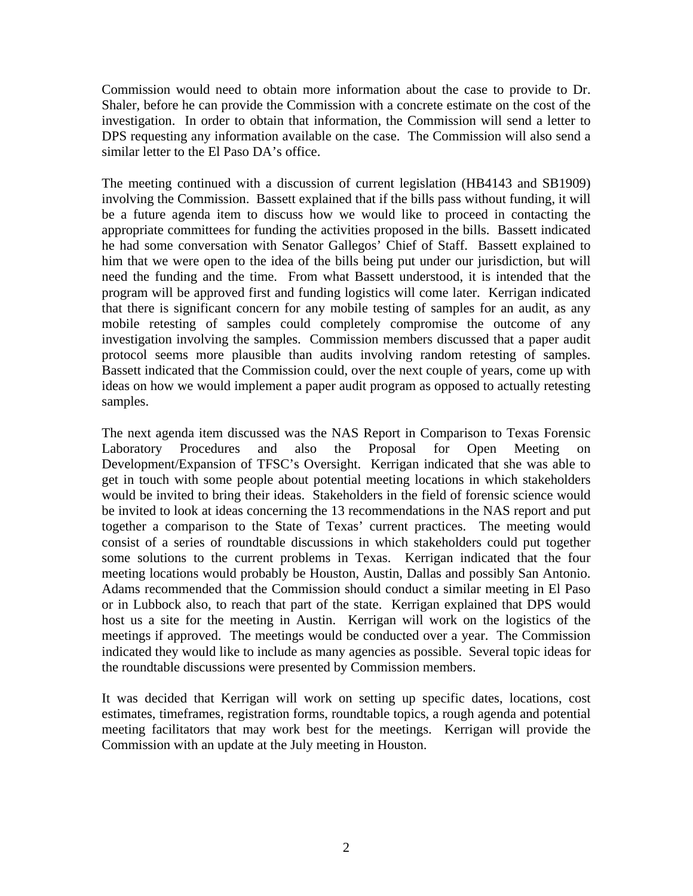Commission would need to obtain more information about the case to provide to Dr. Shaler, before he can provide the Commission with a concrete estimate on the cost of the investigation. In order to obtain that information, the Commission will send a letter to DPS requesting any information available on the case. The Commission will also send a similar letter to the El Paso DA's office.

The meeting continued with a discussion of current legislation (HB4143 and SB1909) involving the Commission. Bassett explained that if the bills pass without funding, it will be a future agenda item to discuss how we would like to proceed in contacting the appropriate committees for funding the activities proposed in the bills. Bassett indicated he had some conversation with Senator Gallegos' Chief of Staff. Bassett explained to him that we were open to the idea of the bills being put under our jurisdiction, but will need the funding and the time. From what Bassett understood, it is intended that the program will be approved first and funding logistics will come later. Kerrigan indicated that there is significant concern for any mobile testing of samples for an audit, as any mobile retesting of samples could completely compromise the outcome of any investigation involving the samples. Commission members discussed that a paper audit protocol seems more plausible than audits involving random retesting of samples. Bassett indicated that the Commission could, over the next couple of years, come up with ideas on how we would implement a paper audit program as opposed to actually retesting samples.

The next agenda item discussed was the NAS Report in Comparison to Texas Forensic Laboratory Procedures and also the Proposal for Open Meeting on Development/Expansion of TFSC's Oversight. Kerrigan indicated that she was able to get in touch with some people about potential meeting locations in which stakeholders would be invited to bring their ideas. Stakeholders in the field of forensic science would be invited to look at ideas concerning the 13 recommendations in the NAS report and put together a comparison to the State of Texas' current practices. The meeting would consist of a series of roundtable discussions in which stakeholders could put together some solutions to the current problems in Texas. Kerrigan indicated that the four meeting locations would probably be Houston, Austin, Dallas and possibly San Antonio. Adams recommended that the Commission should conduct a similar meeting in El Paso or in Lubbock also, to reach that part of the state. Kerrigan explained that DPS would host us a site for the meeting in Austin. Kerrigan will work on the logistics of the meetings if approved. The meetings would be conducted over a year. The Commission indicated they would like to include as many agencies as possible. Several topic ideas for the roundtable discussions were presented by Commission members.

It was decided that Kerrigan will work on setting up specific dates, locations, cost estimates, timeframes, registration forms, roundtable topics, a rough agenda and potential meeting facilitators that may work best for the meetings. Kerrigan will provide the Commission with an update at the July meeting in Houston.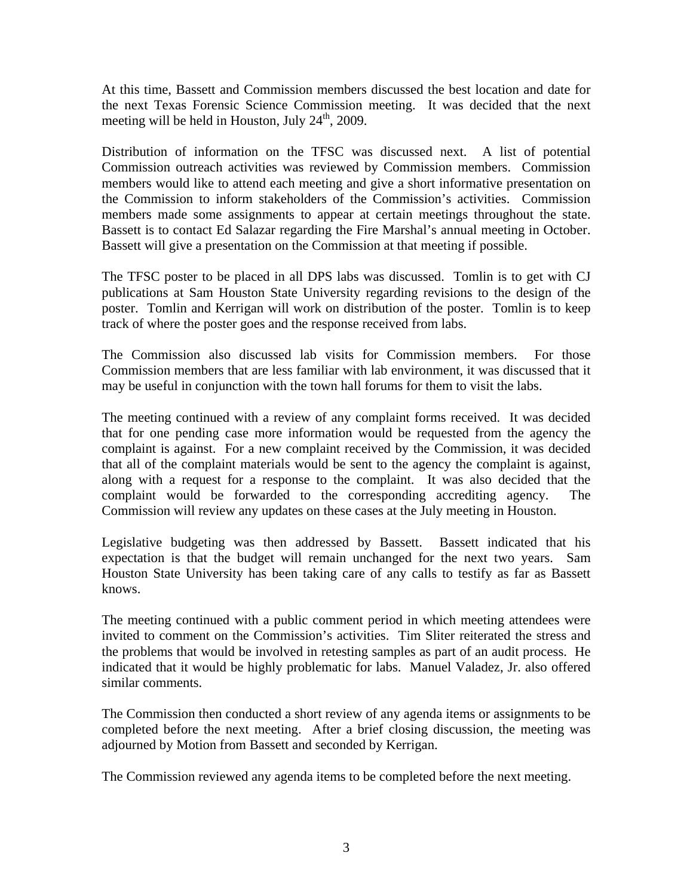At this time, Bassett and Commission members discussed the best location and date for the next Texas Forensic Science Commission meeting. It was decided that the next meeting will be held in Houston, July  $24<sup>th</sup>$ , 2009.

Distribution of information on the TFSC was discussed next. A list of potential Commission outreach activities was reviewed by Commission members. Commission members would like to attend each meeting and give a short informative presentation on the Commission to inform stakeholders of the Commission's activities. Commission members made some assignments to appear at certain meetings throughout the state. Bassett is to contact Ed Salazar regarding the Fire Marshal's annual meeting in October. Bassett will give a presentation on the Commission at that meeting if possible.

The TFSC poster to be placed in all DPS labs was discussed. Tomlin is to get with CJ publications at Sam Houston State University regarding revisions to the design of the poster. Tomlin and Kerrigan will work on distribution of the poster. Tomlin is to keep track of where the poster goes and the response received from labs.

The Commission also discussed lab visits for Commission members. For those Commission members that are less familiar with lab environment, it was discussed that it may be useful in conjunction with the town hall forums for them to visit the labs.

The meeting continued with a review of any complaint forms received. It was decided that for one pending case more information would be requested from the agency the complaint is against. For a new complaint received by the Commission, it was decided that all of the complaint materials would be sent to the agency the complaint is against, along with a request for a response to the complaint. It was also decided that the complaint would be forwarded to the corresponding accrediting agency. The Commission will review any updates on these cases at the July meeting in Houston.

Legislative budgeting was then addressed by Bassett. Bassett indicated that his expectation is that the budget will remain unchanged for the next two years. Sam Houston State University has been taking care of any calls to testify as far as Bassett knows.

The meeting continued with a public comment period in which meeting attendees were invited to comment on the Commission's activities. Tim Sliter reiterated the stress and the problems that would be involved in retesting samples as part of an audit process. He indicated that it would be highly problematic for labs. Manuel Valadez, Jr. also offered similar comments.

The Commission then conducted a short review of any agenda items or assignments to be completed before the next meeting. After a brief closing discussion, the meeting was adjourned by Motion from Bassett and seconded by Kerrigan.

The Commission reviewed any agenda items to be completed before the next meeting.